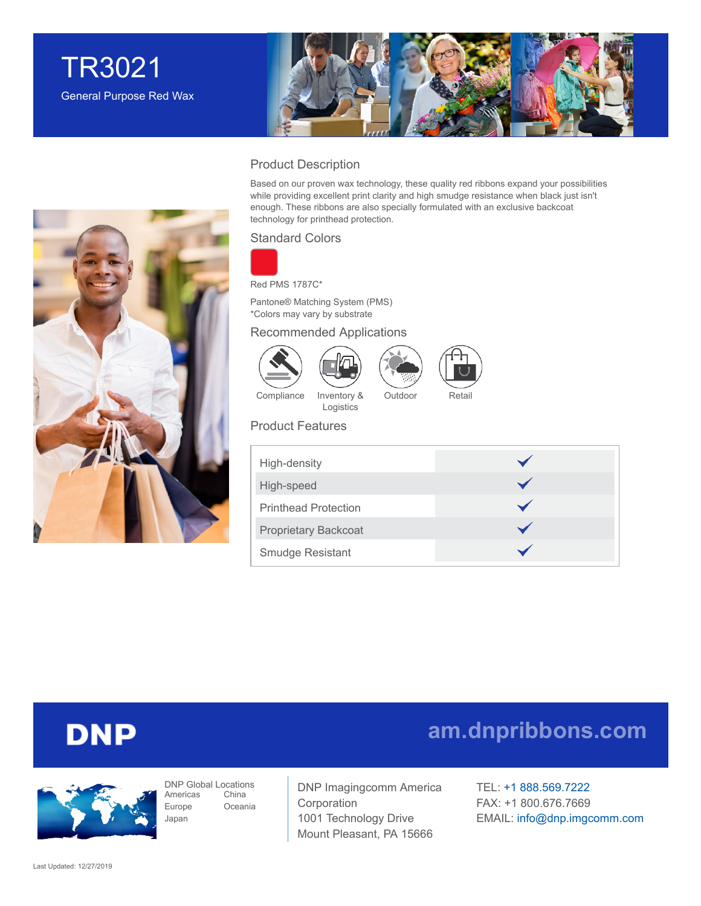



### Product Description

Based on our proven wax technology, these quality red ribbons expand your possibilities while providing excellent print clarity and high smudge resistance when black just isn't enough. These ribbons are also specially formulated with an exclusive backcoat technology for printhead protection.

### Standard Colors



Red PMS 1787C\*

Pantone® Matching System (PMS) \*Colors may vary by substrate

#### Recommended Applications









Outdoor Retail

Compliance Inventory & Logistics

### Product Features

| High-density                |  |
|-----------------------------|--|
| High-speed                  |  |
| <b>Printhead Protection</b> |  |
| <b>Proprietary Backcoat</b> |  |
| <b>Smudge Resistant</b>     |  |



# **DNP**



DNP Global Locations Americas Europe Japan China Oceania

DNP Imagingcomm America Corporation 1001 Technology Drive Mount Pleasant, PA 15666

TEL: +1 [888.569.7222](tel:1.888.569.7222) FAX: +1 800.676.7669 EMAIL: [info@dnp.imgcomm.com](mailto:info@dnp.imgcomm.com)

**[am.dnpribbons.com](http://am.dnpribbons.com/)**